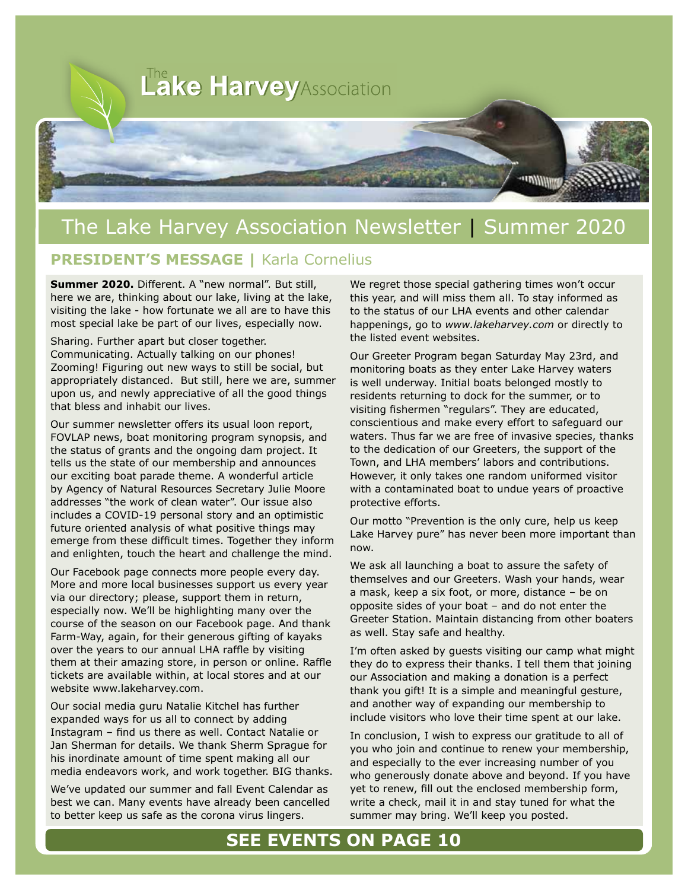

## The Lake Harvey Association Newsletter | Summer 2020

#### **PRESIDENT'S MESSAGE |** Karla Cornelius

**Summer 2020.** Different. A "new normal". But still, here we are, thinking about our lake, living at the lake, visiting the lake - how fortunate we all are to have this most special lake be part of our lives, especially now.

Sharing. Further apart but closer together. Communicating. Actually talking on our phones! Zooming! Figuring out new ways to still be social, but appropriately distanced. But still, here we are, summer upon us, and newly appreciative of all the good things that bless and inhabit our lives.

Our summer newsletter offers its usual loon report, FOVLAP news, boat monitoring program synopsis, and the status of grants and the ongoing dam project. It tells us the state of our membership and announces our exciting boat parade theme. A wonderful article by Agency of Natural Resources Secretary Julie Moore addresses "the work of clean water". Our issue also includes a COVID-19 personal story and an optimistic future oriented analysis of what positive things may emerge from these difficult times. Together they inform and enlighten, touch the heart and challenge the mind.

Our Facebook page connects more people every day. More and more local businesses support us every year via our directory; please, support them in return, especially now. We'll be highlighting many over the course of the season on our Facebook page. And thank Farm-Way, again, for their generous gifting of kayaks over the years to our annual LHA raffle by visiting them at their amazing store, in person or online. Raffle tickets are available within, at local stores and at our website www.lakeharvey.com.

Our social media guru Natalie Kitchel has further expanded ways for us all to connect by adding Instagram – find us there as well. Contact Natalie or Jan Sherman for details. We thank Sherm Sprague for his inordinate amount of time spent making all our media endeavors work, and work together. BIG thanks.

We've updated our summer and fall Event Calendar as best we can. Many events have already been cancelled to better keep us safe as the corona virus lingers.

We regret those special gathering times won't occur this year, and will miss them all. To stay informed as to the status of our LHA events and other calendar happenings, go to *www.lakeharvey.com* or directly to the listed event websites.

Our Greeter Program began Saturday May 23rd, and monitoring boats as they enter Lake Harvey waters is well underway. Initial boats belonged mostly to residents returning to dock for the summer, or to visiting fishermen "regulars". They are educated, conscientious and make every effort to safeguard our waters. Thus far we are free of invasive species, thanks to the dedication of our Greeters, the support of the Town, and LHA members' labors and contributions. However, it only takes one random uniformed visitor with a contaminated boat to undue years of proactive protective efforts.

Our motto "Prevention is the only cure, help us keep Lake Harvey pure" has never been more important than now.

We ask all launching a boat to assure the safety of themselves and our Greeters. Wash your hands, wear a mask, keep a six foot, or more, distance – be on opposite sides of your boat – and do not enter the Greeter Station. Maintain distancing from other boaters as well. Stay safe and healthy.

I'm often asked by guests visiting our camp what might they do to express their thanks. I tell them that joining our Association and making a donation is a perfect thank you gift! It is a simple and meaningful gesture, and another way of expanding our membership to include visitors who love their time spent at our lake.

In conclusion, I wish to express our gratitude to all of you who join and continue to renew your membership, and especially to the ever increasing number of you who generously donate above and beyond. If you have yet to renew, fill out the enclosed membership form, write a check, mail it in and stay tuned for what the summer may bring. We'll keep you posted.

## **SEE EVENTS ON PAGE 10**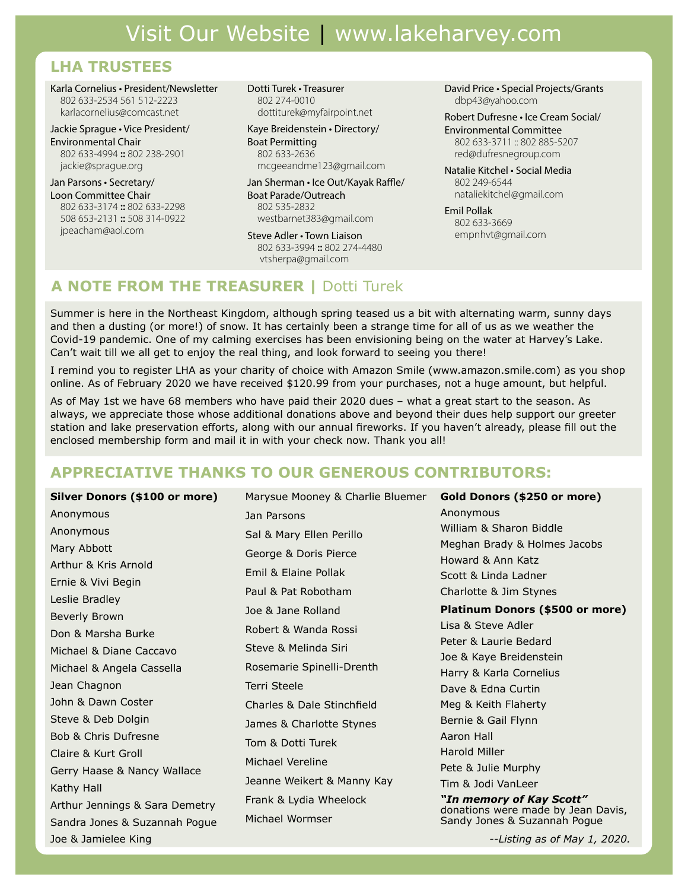## **LHA TRUSTEES**

Karla Cornelius • President/Newsletter 802 633-2534 561 512-2223 karlacornelius@comcast.net

Jackie Sprague • Vice President/ Environmental Chair 802 633-4994 **::** 802 238-2901 jackie@sprague.org

Jan Parsons • Secretary/ Loon Committee Chair 802 633-3174 **::** 802 633-2298 508 653-2131 **::** 508 314-0922 jpeacham@aol.com

Dotti Turek • Treasurer 802 274-0010 dottiturek@myfairpoint.net

Kaye Breidenstein • Directory/ Boat Permitting 802 633-2636 mcgeeandme123@gmail.com

Jan Sherman • Ice Out/Kayak Raffle/ Boat Parade/Outreach 802 535-2832 westbarnet383@gmail.com

Steve Adler • Town Liaison 802 633-3994 **::** 802 274-4480 vtsherpa@gmail.com

David Price • Special Projects/Grants dbp43@yahoo.com

Robert Dufresne • Ice Cream Social/

Environmental Committee 802 633-3711 :: 802 885-5207 red@dufresnegroup.com

Natalie Kitchel • Social Media 802 249-6544 nataliekitchel@gmail.com

Emil Pollak 802 633-3669 empnhvt@gmail.com

## **A NOTE FROM THE TREASURER |** Dotti Turek

Summer is here in the Northeast Kingdom, although spring teased us a bit with alternating warm, sunny days and then a dusting (or more!) of snow. It has certainly been a strange time for all of us as we weather the Covid-19 pandemic. One of my calming exercises has been envisioning being on the water at Harvey's Lake. Can't wait till we all get to enjoy the real thing, and look forward to seeing you there!

I remind you to register LHA as your charity of choice with Amazon Smile (www.amazon.smile.com) as you shop online. As of February 2020 we have received \$120.99 from your purchases, not a huge amount, but helpful.

As of May 1st we have 68 members who have paid their 2020 dues – what a great start to the season. As always, we appreciate those whose additional donations above and beyond their dues help support our greeter station and lake preservation efforts, along with our annual fireworks. If you haven't already, please fill out the enclosed membership form and mail it in with your check now. Thank you all!

### **APPRECIATIVE THANKS TO OUR GENEROUS CONTRIBUTORS:**

**Silver Donors (\$100 or more)** Anonymous Anonymous Mary Abbott Arthur & Kris Arnold Ernie & Vivi Begin Leslie Bradley Beverly Brown Don & Marsha Burke Michael & Diane Caccavo Michael & Angela Cassella Jean Chagnon John & Dawn Coster Steve & Deb Dolgin Bob & Chris Dufresne Claire & Kurt Groll Gerry Haase & Nancy Wallace Kathy Hall Arthur Jennings & Sara Demetry Sandra Jones & Suzannah Pogue Joe & Jamielee King Marysue Mooney & Charlie Bluemer Jan Parsons Sal & Mary Ellen Perillo George & Doris Pierce Emil & Elaine Pollak Paul & Pat Robotham Joe & Jane Rolland Robert & Wanda Rossi Steve & Melinda Siri Rosemarie Spinelli-Drenth Terri Steele Charles & Dale Stinchfield James & Charlotte Stynes Tom & Dotti Turek Michael Vereline Jeanne Weikert & Manny Kay Frank & Lydia Wheelock Michael Wormser **Gold Donors (\$250 or more)** Anonymous William & Sharon Biddle Meghan Brady & Holmes Jacobs Howard & Ann Katz Scott & Linda Ladner Charlotte & Jim Stynes **Platinum Donors (\$500 or more)** Lisa & Steve Adler Peter & Laurie Bedard Joe & Kaye Breidenstein Harry & Karla Cornelius Dave & Edna Curtin Meg & Keith Flaherty Bernie & Gail Flynn Aaron Hall Harold Miller Pete & Julie Murphy Tim & Jodi VanLeer *"In memory of Kay Scott"* donations were made by Jean Davis, Sandy Jones & Suzannah Pogue *--Listing as of May 1, 2020.*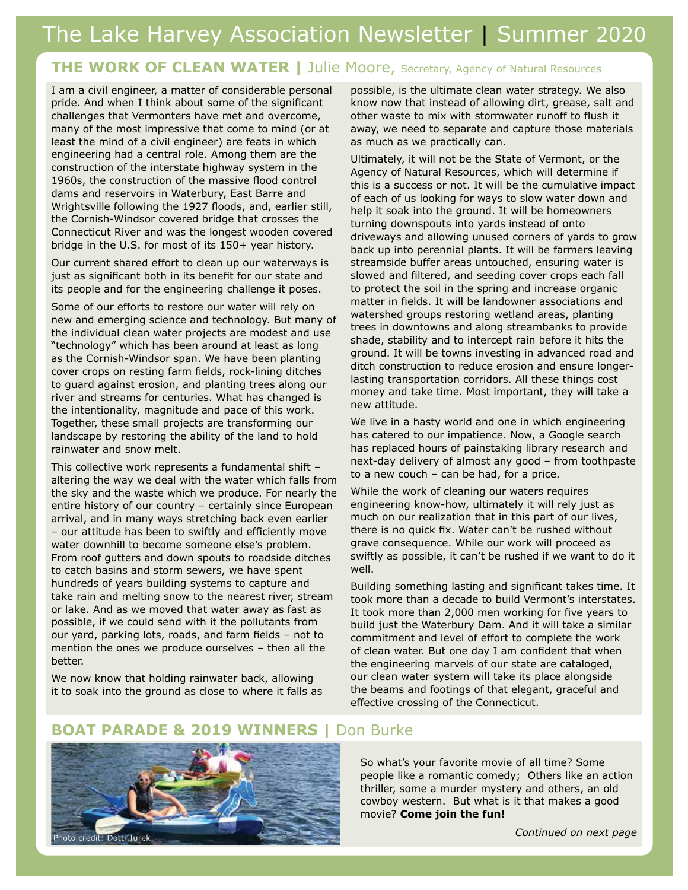## **THE WORK OF CLEAN WATER | Julie Moore, Secretary, Agency of Natural Resources**

I am a civil engineer, a matter of considerable personal pride. And when I think about some of the significant challenges that Vermonters have met and overcome, many of the most impressive that come to mind (or at least the mind of a civil engineer) are feats in which engineering had a central role. Among them are the construction of the interstate highway system in the 1960s, the construction of the massive flood control dams and reservoirs in Waterbury, East Barre and Wrightsville following the 1927 floods, and, earlier still, the Cornish-Windsor covered bridge that crosses the Connecticut River and was the longest wooden covered bridge in the U.S. for most of its 150+ year history.

Our current shared effort to clean up our waterways is just as significant both in its benefit for our state and its people and for the engineering challenge it poses.

Some of our efforts to restore our water will rely on new and emerging science and technology. But many of the individual clean water projects are modest and use "technology" which has been around at least as long as the Cornish-Windsor span. We have been planting cover crops on resting farm fields, rock-lining ditches to guard against erosion, and planting trees along our river and streams for centuries. What has changed is the intentionality, magnitude and pace of this work. Together, these small projects are transforming our landscape by restoring the ability of the land to hold rainwater and snow melt.

This collective work represents a fundamental shift – altering the way we deal with the water which falls from the sky and the waste which we produce. For nearly the entire history of our country – certainly since European arrival, and in many ways stretching back even earlier – our attitude has been to swiftly and efficiently move water downhill to become someone else's problem. From roof gutters and down spouts to roadside ditches to catch basins and storm sewers, we have spent hundreds of years building systems to capture and take rain and melting snow to the nearest river, stream or lake. And as we moved that water away as fast as possible, if we could send with it the pollutants from our yard, parking lots, roads, and farm fields – not to mention the ones we produce ourselves – then all the better.

We now know that holding rainwater back, allowing it to soak into the ground as close to where it falls as possible, is the ultimate clean water strategy. We also know now that instead of allowing dirt, grease, salt and other waste to mix with stormwater runoff to flush it away, we need to separate and capture those materials as much as we practically can.

Ultimately, it will not be the State of Vermont, or the Agency of Natural Resources, which will determine if this is a success or not. It will be the cumulative impact of each of us looking for ways to slow water down and help it soak into the ground. It will be homeowners turning downspouts into yards instead of onto driveways and allowing unused corners of yards to grow back up into perennial plants. It will be farmers leaving streamside buffer areas untouched, ensuring water is slowed and filtered, and seeding cover crops each fall to protect the soil in the spring and increase organic matter in fields. It will be landowner associations and watershed groups restoring wetland areas, planting trees in downtowns and along streambanks to provide shade, stability and to intercept rain before it hits the ground. It will be towns investing in advanced road and ditch construction to reduce erosion and ensure longerlasting transportation corridors. All these things cost money and take time. Most important, they will take a new attitude.

We live in a hasty world and one in which engineering has catered to our impatience. Now, a Google search has replaced hours of painstaking library research and next-day delivery of almost any good – from toothpaste to a new couch – can be had, for a price.

While the work of cleaning our waters requires engineering know-how, ultimately it will rely just as much on our realization that in this part of our lives, there is no quick fix. Water can't be rushed without grave consequence. While our work will proceed as swiftly as possible, it can't be rushed if we want to do it well.

Building something lasting and significant takes time. It took more than a decade to build Vermont's interstates. It took more than 2,000 men working for five years to build just the Waterbury Dam. And it will take a similar commitment and level of effort to complete the work of clean water. But one day I am confident that when the engineering marvels of our state are cataloged, our clean water system will take its place alongside the beams and footings of that elegant, graceful and effective crossing of the Connecticut.

#### **BOAT PARADE & 2019 WINNERS |** Don Burke



So what's your favorite movie of all time? Some people like a romantic comedy; Others like an action thriller, some a murder mystery and others, an old cowboy western. But what is it that makes a good movie? **Come join the fun!**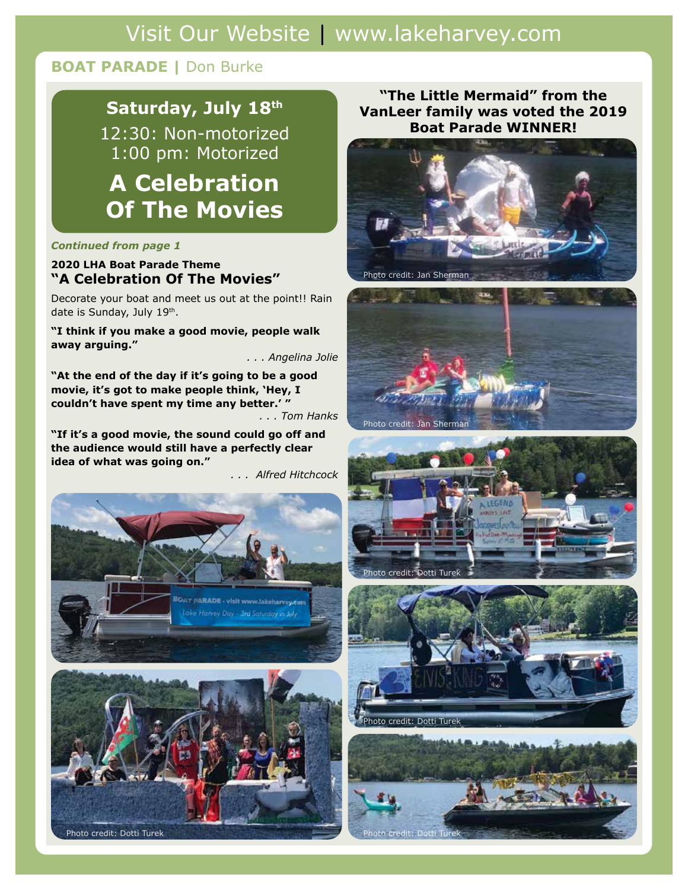# Visit Our Website | www.lakeharvey.com

## **BOAT PARADE |** Don Burke

## **Saturday, July 18th**

12:30: Non-motorized 1:00 pm: Motorized

# **A Celebration Of The Movies**

#### *Continued from page 1*

#### **2020 LHA Boat Parade Theme "A Celebration Of The Movies"**

Decorate your boat and meet us out at the point!! Rain date is Sunday, July 19th.

**"I think if you make a good movie, people walk away arguing."**

*. . . Angelina Jolie*

**"At the end of the day if it's going to be a good movie, it's got to make people think, 'Hey, I couldn't have spent my time any better.' "**

*. . . Tom Hanks*

**"If it's a good movie, the sound could go off and the audience would still have a perfectly clear idea of what was going on."**

*. . . Alfred Hitchcock*



#### **"The Little Mermaid" from the VanLeer family was voted the 2019 Boat Parade WINNER!**









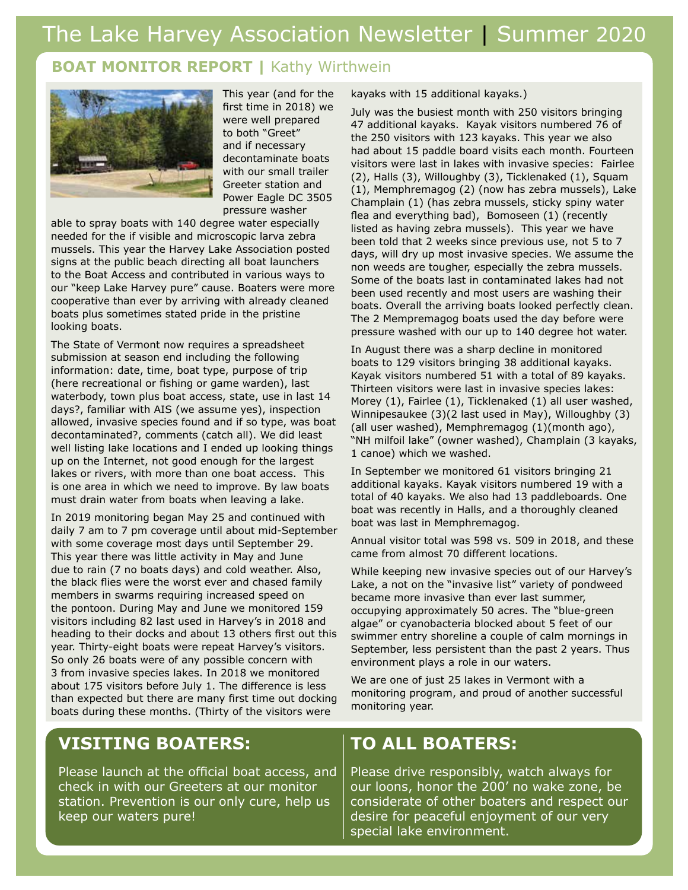## **BOAT MONITOR REPORT |** Kathy Wirthwein



This year (and for the first time in 2018) we were well prepared to both "Greet" and if necessary decontaminate boats with our small trailer Greeter station and Power Eagle DC 3505 pressure washer

able to spray boats with 140 degree water especially needed for the if visible and microscopic larva zebra mussels. This year the Harvey Lake Association posted signs at the public beach directing all boat launchers to the Boat Access and contributed in various ways to our "keep Lake Harvey pure" cause. Boaters were more cooperative than ever by arriving with already cleaned boats plus sometimes stated pride in the pristine looking boats.

The State of Vermont now requires a spreadsheet submission at season end including the following information: date, time, boat type, purpose of trip (here recreational or fishing or game warden), last waterbody, town plus boat access, state, use in last 14 days?, familiar with AIS (we assume yes), inspection allowed, invasive species found and if so type, was boat decontaminated?, comments (catch all). We did least well listing lake locations and I ended up looking things up on the Internet, not good enough for the largest lakes or rivers, with more than one boat access. This is one area in which we need to improve. By law boats must drain water from boats when leaving a lake.

In 2019 monitoring began May 25 and continued with daily 7 am to 7 pm coverage until about mid-September with some coverage most days until September 29. This year there was little activity in May and June due to rain (7 no boats days) and cold weather. Also, the black flies were the worst ever and chased family members in swarms requiring increased speed on the pontoon. During May and June we monitored 159 visitors including 82 last used in Harvey's in 2018 and heading to their docks and about 13 others first out this year. Thirty-eight boats were repeat Harvey's visitors. So only 26 boats were of any possible concern with 3 from invasive species lakes. In 2018 we monitored about 175 visitors before July 1. The difference is less than expected but there are many first time out docking boats during these months. (Thirty of the visitors were

kayaks with 15 additional kayaks.)

July was the busiest month with 250 visitors bringing 47 additional kayaks. Kayak visitors numbered 76 of the 250 visitors with 123 kayaks. This year we also had about 15 paddle board visits each month. Fourteen visitors were last in lakes with invasive species: Fairlee (2), Halls (3), Willoughby (3), Ticklenaked (1), Squam (1), Memphremagog (2) (now has zebra mussels), Lake Champlain (1) (has zebra mussels, sticky spiny water flea and everything bad), Bomoseen (1) (recently listed as having zebra mussels). This year we have been told that 2 weeks since previous use, not 5 to 7 days, will dry up most invasive species. We assume the non weeds are tougher, especially the zebra mussels. Some of the boats last in contaminated lakes had not been used recently and most users are washing their boats. Overall the arriving boats looked perfectly clean. The 2 Mempremagog boats used the day before were pressure washed with our up to 140 degree hot water.

In August there was a sharp decline in monitored boats to 129 visitors bringing 38 additional kayaks. Kayak visitors numbered 51 with a total of 89 kayaks. Thirteen visitors were last in invasive species lakes: Morey (1), Fairlee (1), Ticklenaked (1) all user washed, Winnipesaukee (3)(2 last used in May), Willoughby (3) (all user washed), Memphremagog (1)(month ago), "NH milfoil lake" (owner washed), Champlain (3 kayaks, 1 canoe) which we washed.

In September we monitored 61 visitors bringing 21 additional kayaks. Kayak visitors numbered 19 with a total of 40 kayaks. We also had 13 paddleboards. One boat was recently in Halls, and a thoroughly cleaned boat was last in Memphremagog.

Annual visitor total was 598 vs. 509 in 2018, and these came from almost 70 different locations.

While keeping new invasive species out of our Harvey's Lake, a not on the "invasive list" variety of pondweed became more invasive than ever last summer, occupying approximately 50 acres. The "blue-green algae" or cyanobacteria blocked about 5 feet of our swimmer entry shoreline a couple of calm mornings in September, less persistent than the past 2 years. Thus environment plays a role in our waters.

We are one of just 25 lakes in Vermont with a monitoring program, and proud of another successful monitoring year.

## **VISITING BOATERS:**

Please launch at the official boat access, and check in with our Greeters at our monitor station. Prevention is our only cure, help us keep our waters pure!

## **TO ALL BOATERS:**

Please drive responsibly, watch always for our loons, honor the 200' no wake zone, be considerate of other boaters and respect our desire for peaceful enjoyment of our very special lake environment.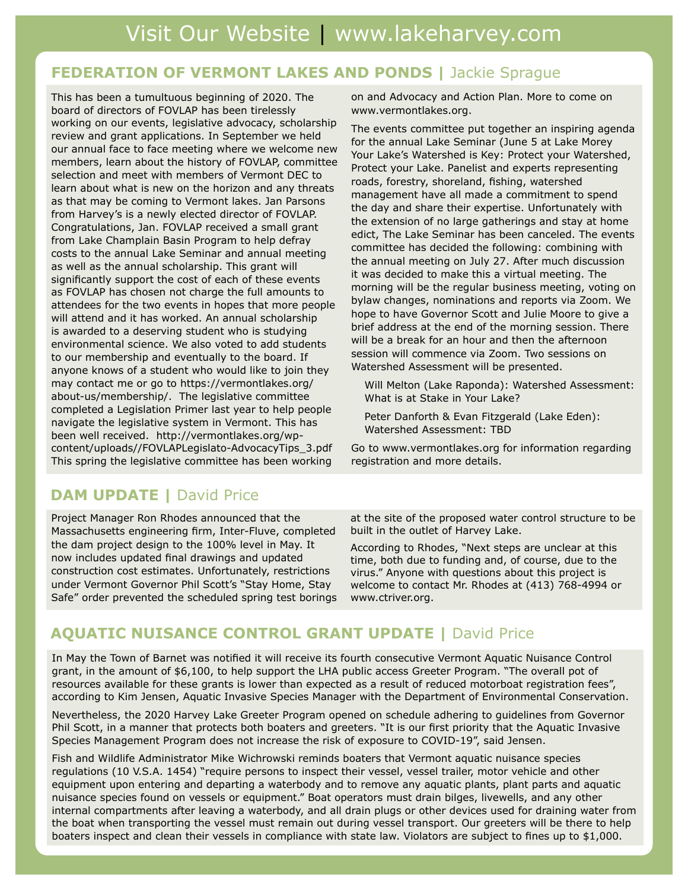## **FEDERATION OF VERMONT LAKES AND PONDS | Jackie Sprague**

This has been a tumultuous beginning of 2020. The board of directors of FOVLAP has been tirelessly working on our events, legislative advocacy, scholarship<br>working on our events, legislative advocacy, scholarship review and grant applications. In September we neid<br>our annual face to face meeting where we welcome new but annual race to race meeting where we welcome new<br>members, learn about the history of FOVLAP, committee members, fearn about the motor  $y$  or  $1802$  at, committed selection and meet with members of Vermont DEC to Learn about what is new on the horizon and any threats as that may be coming to Vermont lakes. Jan Parsons from Harvey's is a newly elected director of FOVLAP. Evergretenemer, sem for Entrancement of Small grant<br>I from Lake Champlain Basin Program to help defray costs to the annual Lake Seminar and annual meeting as well as the annual scholarship. This grant will significantly support the cost of each of these events as FOVLAP has chosen not charge the full amounts to attendees for the two events in hopes that more people will attend and it has worked. An annual scholarship is awarded to a deserving student who is studying environmental science. We also voted to add students to our membership and eventually to the board. If<br>causes lineus of a student who would like to isin they anyone knows or a student who would like to join the<br>may contact me or go to https://vermontlakes.org/ may contact me or go to mups.// vermontrakes.org/<br>about-us/membership/. The legislative committee about adjinembering, it the regional committee completed a Legislation Primer last year to help people navigate the legislative system in Vermont. This has been well received. http://vermontlakes.org/wpcontent/uploads//FOVLAPLegislato-AdvocacyTips\_3.pdf This spring the legislative committee has been working review and grant applications. In September we held Congratulations, Jan. FOVLAP received a small grant anyone knows of a student who would like to join they

on and Advocacy and Action Plan. More to come on www.vermontlakes.org.

The events committee put together an inspiring agenda for the annual Lake Seminar (June 5 at Lake Morey Your Lake's Watershed is Key: Protect your Watershed, Protect your Lake. Panelist and experts representing roads, forestry, shoreland, fishing, watershed management have all made a commitment to spend the day and share their expertise. Unfortunately with the with the extension of no large gatherings and stay at home<br>callet The Lake Gaminer has harvespeaded. The supplies edict, The Lake Seminar has been canceled. The even<br>committee has decided the following: combining with committee has declued the following. Combining with the annual meeting on July 27. After much discussion it was decided to make this a virtual meeting. The morning will be the regular business meeting, voting on<br>hydrogeneous map is the regular business meeting, 7 bylaw changes, nominations and reports via 200m. We<br>hope to have Governor Scott and Julie Moore to give a hope to have Governor Scott and Julie moore to give a<br>brief address at the end of the morning session. There will be a break for an hour and then the afternoon session will commence via Zoom. Two sessions on Watershed Assessment will be presented. edict, The Lake Seminar has been canceled. The events bylaw changes, nominations and reports via Zoom. We

Will Melton (Lake Raponda): Watershed Assessment: What is at Stake in Your Lake?

Peter Danforth & Evan Fitzgerald (Lake Eden): Watershed Assessment: TBD

Go to www.vermontlakes.org for information regarding registration and more details.

#### at the lake. It starts on Friday with a pot **DAM UPDATE |** David Price

Project Manager Ron Rhodes announced that the meeting. Association news and happenings, Massachusetts engineering firm, Inter-Fluve, completed Independence on gineering in my article fruity, complete the dam project design to the 100% level in May. It now includes updated final drawings and updated construction cost estimates. Unfortunately, restrictions under Vermont Governor Phil Scott's "Stay Home, Stay Safe" order prevented the scheduled spring test borings

at the site of the proposed water control structure to be built in the outlet of Harvey Lake.

According to Rhodes, "Next steps are unclear at this time, both due to funding and, of course, due to the virus." Anyone with questions about this project is welcome to contact Mr. Rhodes at (413) 768-4994 or www.ctriver.org.

#### AQUATTE NUITEANEE CONTROL O **AQUATIC NUISANCE CONTROL GRANT UPDATE |** David Price

In May the Town of Barnet was notified it will receive its fourth consecutive Vermont Aquatic Nuisance Control<br>Another the Laurent of 16,100 to half consecutive its analytic consecutive Pressease. The conseller to half co grant, in the amount of \$6,100, to help support the LHA public access Greeter Program. "The overall pot of<br>receivers a will had for these graphs is lower than synapted as a result of reduced materbant resistantion for resources available for these grants is lower than exponent miss out on a chance to win. Be sure to according to Kim Jensen, Aquatic Invasive Species Manager with the Department of Environmental Conservation. resources available for these grants is lower than expected as a result of reduced motorboat registration fees",

Nevertheless, the 2020 Harvey Lake Greeter Program opened on schedule adhering to guidelines from Governor<br>Rivies Species Management Program does not increase the risk of exposure to COVID-19", said Jensen. Phil Scott, in a manner that protects both boaters and greeters. "It is our first priority that the Aquatic Invasive

Fish and Wildlife Administrator Mike Wichrowski reminds boaters that Vermont aquatic nuisance species regulations (10 V.S.A. 1454) "require persons to inspect their vessel, vessel trailer, motor vehicle and other equipment upon entering and departing a waterbody and to remove any aquatic plants, plant parts and aquatic nuisance species found on vessels or equipment." Boat operators must drain bilges, livewells, and any other internal compartments after leaving a waterbody, and all drain plugs or other devices used for draining water from the boat when transporting the vessel must remain out during vessel transport. Our greeters will be there to help boaters inspect and clean their vessels in compliance with state law. Violators are subject to fines up to \$1,000.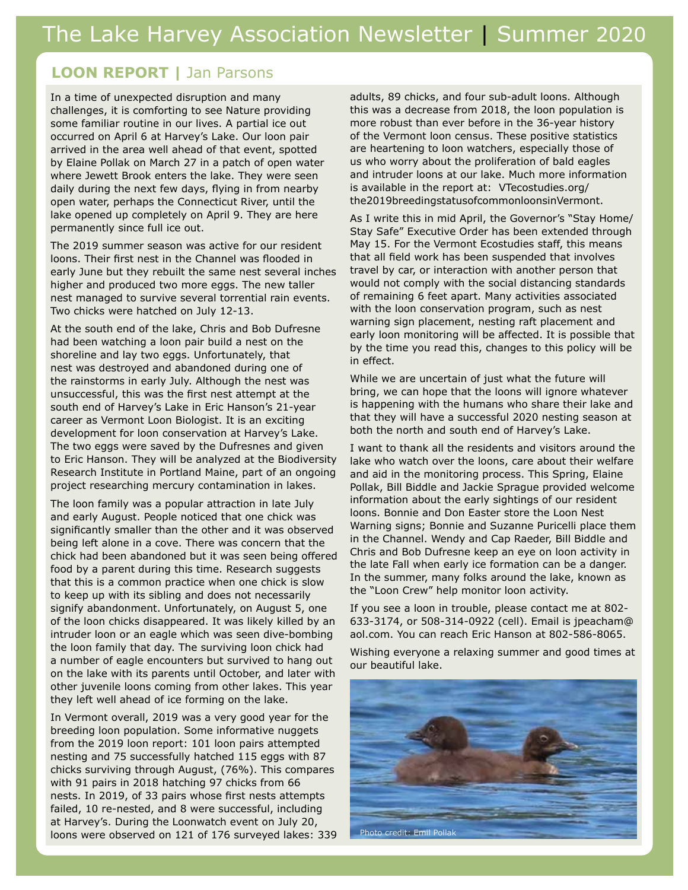## **LOON REPORT |** Jan Parsons

In a time of unexpected disruption and many challenges, it is comforting to see Nature providing some familiar routine in our lives. A partial ice out occurred on April 6 at Harvey's Lake. Our loon pair arrived in the area well ahead of that event, spotted by Elaine Pollak on March 27 in a patch of open water where Jewett Brook enters the lake. They were seen daily during the next few days, flying in from nearby open water, perhaps the Connecticut River, until the lake opened up completely on April 9. They are here permanently since full ice out.

The 2019 summer season was active for our resident loons. Their first nest in the Channel was flooded in early June but they rebuilt the same nest several inches higher and produced two more eggs. The new taller nest managed to survive several torrential rain events. Two chicks were hatched on July 12-13.

At the south end of the lake, Chris and Bob Dufresne had been watching a loon pair build a nest on the shoreline and lay two eggs. Unfortunately, that nest was destroyed and abandoned during one of the rainstorms in early July. Although the nest was unsuccessful, this was the first nest attempt at the south end of Harvey's Lake in Eric Hanson's 21-year career as Vermont Loon Biologist. It is an exciting development for loon conservation at Harvey's Lake. The two eggs were saved by the Dufresnes and given to Eric Hanson. They will be analyzed at the Biodiversity Research Institute in Portland Maine, part of an ongoing project researching mercury contamination in lakes.

The loon family was a popular attraction in late July and early August. People noticed that one chick was significantly smaller than the other and it was observed being left alone in a cove. There was concern that the chick had been abandoned but it was seen being offered food by a parent during this time. Research suggests that this is a common practice when one chick is slow to keep up with its sibling and does not necessarily signify abandonment. Unfortunately, on August 5, one of the loon chicks disappeared. It was likely killed by an intruder loon or an eagle which was seen dive-bombing the loon family that day. The surviving loon chick had a number of eagle encounters but survived to hang out on the lake with its parents until October, and later with other juvenile loons coming from other lakes. This year they left well ahead of ice forming on the lake.

In Vermont overall, 2019 was a very good year for the breeding loon population. Some informative nuggets from the 2019 loon report: 101 loon pairs attempted nesting and 75 successfully hatched 115 eggs with 87 chicks surviving through August, (76%). This compares with 91 pairs in 2018 hatching 97 chicks from 66 nests. In 2019, of 33 pairs whose first nests attempts failed, 10 re-nested, and 8 were successful, including at Harvey's. During the Loonwatch event on July 20, loons were observed on 121 of 176 surveyed lakes: 339

adults, 89 chicks, and four sub-adult loons. Although this was a decrease from 2018, the loon population is more robust than ever before in the 36-year history of the Vermont loon census. These positive statistics are heartening to loon watchers, especially those of us who worry about the proliferation of bald eagles and intruder loons at our lake. Much more information is available in the report at: VTecostudies.org/ the2019breedingstatusofcommonloonsinVermont.

As I write this in mid April, the Governor's "Stay Home/ Stay Safe" Executive Order has been extended through May 15. For the Vermont Ecostudies staff, this means that all field work has been suspended that involves travel by car, or interaction with another person that would not comply with the social distancing standards of remaining 6 feet apart. Many activities associated with the loon conservation program, such as nest warning sign placement, nesting raft placement and early loon monitoring will be affected. It is possible that by the time you read this, changes to this policy will be in effect.

While we are uncertain of just what the future will bring, we can hope that the loons will ignore whatever is happening with the humans who share their lake and that they will have a successful 2020 nesting season at both the north and south end of Harvey's Lake.

I want to thank all the residents and visitors around the lake who watch over the loons, care about their welfare and aid in the monitoring process. This Spring, Elaine Pollak, Bill Biddle and Jackie Sprague provided welcome information about the early sightings of our resident loons. Bonnie and Don Easter store the Loon Nest Warning signs; Bonnie and Suzanne Puricelli place them in the Channel. Wendy and Cap Raeder, Bill Biddle and Chris and Bob Dufresne keep an eye on loon activity in the late Fall when early ice formation can be a danger. In the summer, many folks around the lake, known as the "Loon Crew" help monitor loon activity.

If you see a loon in trouble, please contact me at 802- 633-3174, or 508-314-0922 (cell). Email is jpeacham@ aol.com. You can reach Eric Hanson at 802-586-8065.

Wishing everyone a relaxing summer and good times at our beautiful lake.

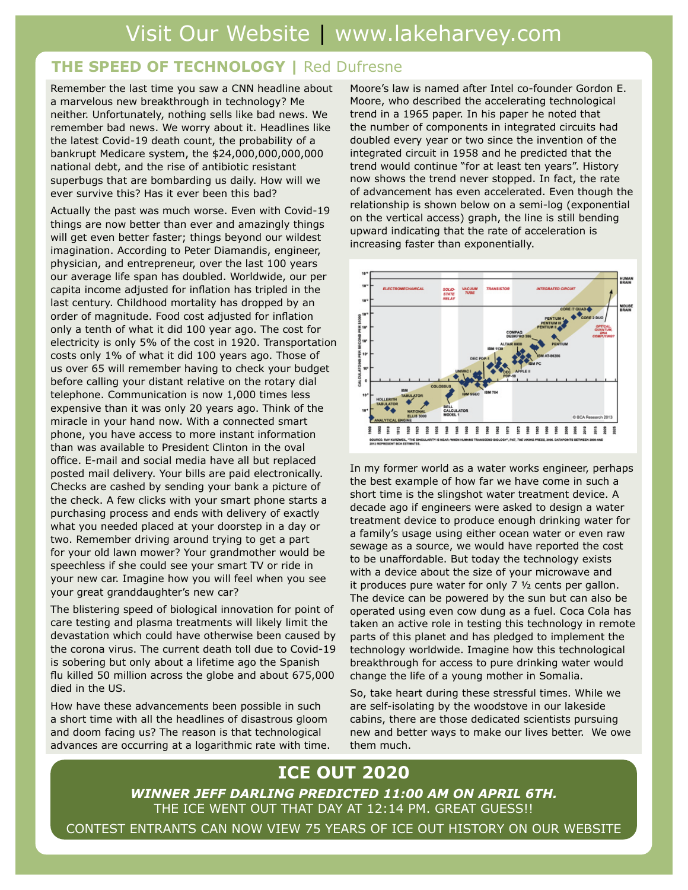### **THE SPEED OF TECHNOLOGY |** Red Dufresne

Remember the last time you saw a CNN headline about a marvelous new breakthrough in technology? Me neither. Unfortunately, nothing sells like bad news. We remember bad news. We worry about it. Headlines like the latest Covid-19 death count, the probability of a bankrupt Medicare system, the \$24,000,000,000,000 national debt, and the rise of antibiotic resistant superbugs that are bombarding us daily. How will we ever survive this? Has it ever been this bad?

Actually the past was much worse. Even with Covid-19 things are now better than ever and amazingly things will get even better faster; things beyond our wildest imagination. According to Peter Diamandis, engineer, physician, and entrepreneur, over the last 100 years our average life span has doubled. Worldwide, our per capita income adjusted for inflation has tripled in the last century. Childhood mortality has dropped by an order of magnitude. Food cost adjusted for inflation only a tenth of what it did 100 year ago. The cost for electricity is only 5% of the cost in 1920. Transportation costs only 1% of what it did 100 years ago. Those of us over 65 will remember having to check your budget before calling your distant relative on the rotary dial telephone. Communication is now 1,000 times less expensive than it was only 20 years ago. Think of the miracle in your hand now. With a connected smart phone, you have access to more instant information than was available to President Clinton in the oval office. E-mail and social media have all but replaced posted mail delivery. Your bills are paid electronically. Checks are cashed by sending your bank a picture of the check. A few clicks with your smart phone starts a purchasing process and ends with delivery of exactly what you needed placed at your doorstep in a day or two. Remember driving around trying to get a part for your old lawn mower? Your grandmother would be speechless if she could see your smart TV or ride in your new car. Imagine how you will feel when you see your great granddaughter's new car?

The blistering speed of biological innovation for point of care testing and plasma treatments will likely limit the devastation which could have otherwise been caused by the corona virus. The current death toll due to Covid-19 is sobering but only about a lifetime ago the Spanish flu killed 50 million across the globe and about 675,000 died in the US.

How have these advancements been possible in such a short time with all the headlines of disastrous gloom and doom facing us? The reason is that technological advances are occurring at a logarithmic rate with time. Moore's law is named after Intel co-founder Gordon E. Moore, who described the accelerating technological trend in a 1965 paper. In his paper he noted that the number of components in integrated circuits had doubled every year or two since the invention of the integrated circuit in 1958 and he predicted that the trend would continue "for at least ten years". History now shows the trend never stopped. In fact, the rate of advancement has even accelerated. Even though the relationship is shown below on a semi-log (exponential on the vertical access) graph, the line is still bending upward indicating that the rate of acceleration is increasing faster than exponentially.



In my former world as a water works engineer, perhaps the best example of how far we have come in such a short time is the slingshot water treatment device. A decade ago if engineers were asked to design a water treatment device to produce enough drinking water for a family's usage using either ocean water or even raw sewage as a source, we would have reported the cost to be unaffordable. But today the technology exists with a device about the size of your microwave and it produces pure water for only 7 ½ cents per gallon. The device can be powered by the sun but can also be operated using even cow dung as a fuel. Coca Cola has taken an active role in testing this technology in remote parts of this planet and has pledged to implement the technology worldwide. Imagine how this technological breakthrough for access to pure drinking water would change the life of a young mother in Somalia.

So, take heart during these stressful times. While we are self-isolating by the woodstove in our lakeside cabins, there are those dedicated scientists pursuing new and better ways to make our lives better. We owe them much.

## **ICE OUT 2020**

*WINNER JEFF DARLING PREDICTED 11:00 AM ON APRIL 6TH.* THE ICE WENT OUT THAT DAY AT 12:14 PM. GREAT GUESS!! CONTEST ENTRANTS CAN NOW VIEW 75 YEARS OF ICE OUT HISTORY ON OUR WEBSITE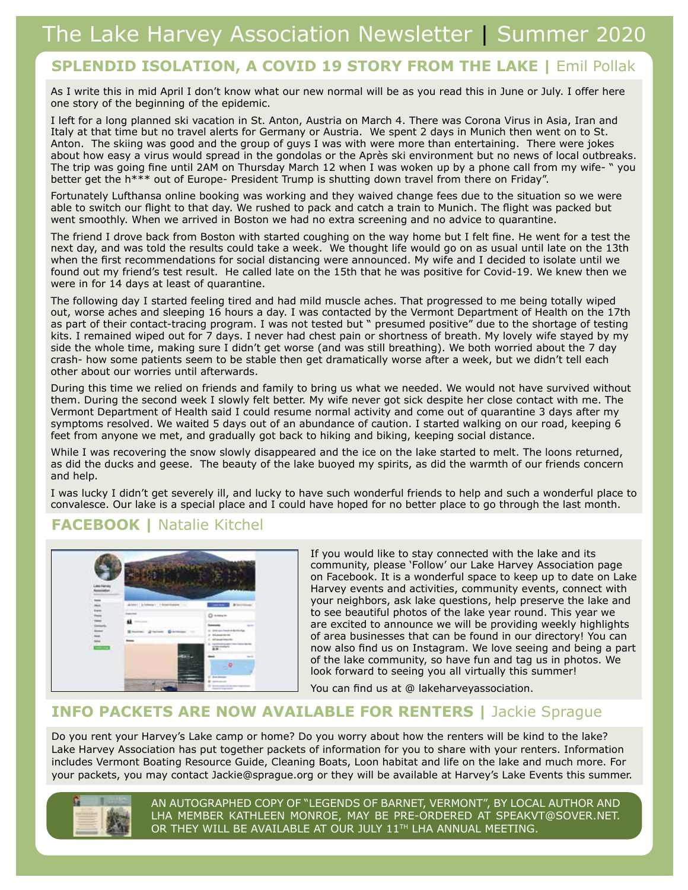## **SPLENDID ISOLATION, A COVID 19 STORY FROM THE LAKE |** Emil Pollak

As I write this in mid April I don't know what our new normal will be as you read this in June or July. I offer here one story of the beginning of the epidemic.

I left for a long planned ski vacation in St. Anton, Austria on March 4. There was Corona Virus in Asia, Iran and Italy at that time but no travel alerts for Germany or Austria. We spent 2 days in Munich then went on to St. Anton. The skiing was good and the group of guys I was with were more than entertaining. There were jokes about how easy a virus would spread in the gondolas or the Après ski environment but no news of local outbreaks. The trip was going fine until 2AM on Thursday March 12 when I was woken up by a phone call from my wife- " you better get the h\*\*\* out of Europe- President Trump is shutting down travel from there on Friday".

Fortunately Lufthansa online booking was working and they waived change fees due to the situation so we were able to switch our flight to that day. We rushed to pack and catch a train to Munich. The flight was packed but went smoothly. When we arrived in Boston we had no extra screening and no advice to quarantine.

The friend I drove back from Boston with started coughing on the way home but I felt fine. He went for a test the next day, and was told the results could take a week. We thought life would go on as usual until late on the 13th when the first recommendations for social distancing were announced. My wife and I decided to isolate until we found out my friend's test result. He called late on the 15th that he was positive for Covid-19. We knew then we were in for 14 days at least of quarantine.

The following day I started feeling tired and had mild muscle aches. That progressed to me being totally wiped out, worse aches and sleeping 16 hours a day. I was contacted by the Vermont Department of Health on the 17th as part of their contact-tracing program. I was not tested but " presumed positive" due to the shortage of testing kits. I remained wiped out for 7 days. I never had chest pain or shortness of breath. My lovely wife stayed by my side the whole time, making sure I didn't get worse (and was still breathing). We both worried about the 7 day crash- how some patients seem to be stable then get dramatically worse after a week, but we didn't tell each other about our worries until afterwards.

During this time we relied on friends and family to bring us what we needed. We would not have survived without them. During the second week I slowly felt better. My wife never got sick despite her close contact with me. The Vermont Department of Health said I could resume normal activity and come out of quarantine 3 days after my symptoms resolved. We waited 5 days out of an abundance of caution. I started walking on our road, keeping 6 feet from anyone we met, and gradually got back to hiking and biking, keeping social distance.

While I was recovering the snow slowly disappeared and the ice on the lake started to melt. The loons returned, as did the ducks and geese. The beauty of the lake buoyed my spirits, as did the warmth of our friends concern and help.

I was lucky I didn't get severely ill, and lucky to have such wonderful friends to help and such a wonderful place to convalesce. Our lake is a special place and I could have hoped for no better place to go through the last month.

## **FACEBOOK |** Natalie Kitchel



If you would like to stay connected with the lake and its community, please 'Follow' our Lake Harvey Association page on Facebook. It is a wonderful space to keep up to date on Lake Harvey events and activities, community events, connect with your neighbors, ask lake questions, help preserve the lake and to see beautiful photos of the lake year round. This year we are excited to announce we will be providing weekly highlights of area businesses that can be found in our directory! You can now also find us on Instagram. We love seeing and being a part of the lake community, so have fun and tag us in photos. We look forward to seeing you all virtually this summer!

You can find us at @ lakeharveyassociation.

### **INFO PACKETS ARE NOW AVAILABLE FOR RENTERS |** Jackie Sprague

Do you rent your Harvey's Lake camp or home? Do you worry about how the renters will be kind to the lake? Lake Harvey Association has put together packets of information for you to share with your renters. Information includes Vermont Boating Resource Guide, Cleaning Boats, Loon habitat and life on the lake and much more. For your packets, you may contact Jackie@sprague.org or they will be available at Harvey's Lake Events this summer.



AN AUTOGRAPHED COPY OF "LEGENDS OF BARNET, VERMONT", BY LOCAL AUTHOR AND LHA MEMBER KATHLEEN MONROE, MAY BE PRE-ORDERED AT SPEAKVT@SOVER.NET. OR THEY WILL BE AVAILABLE AT OUR JULY 11TH LHA ANNUAL MEETING.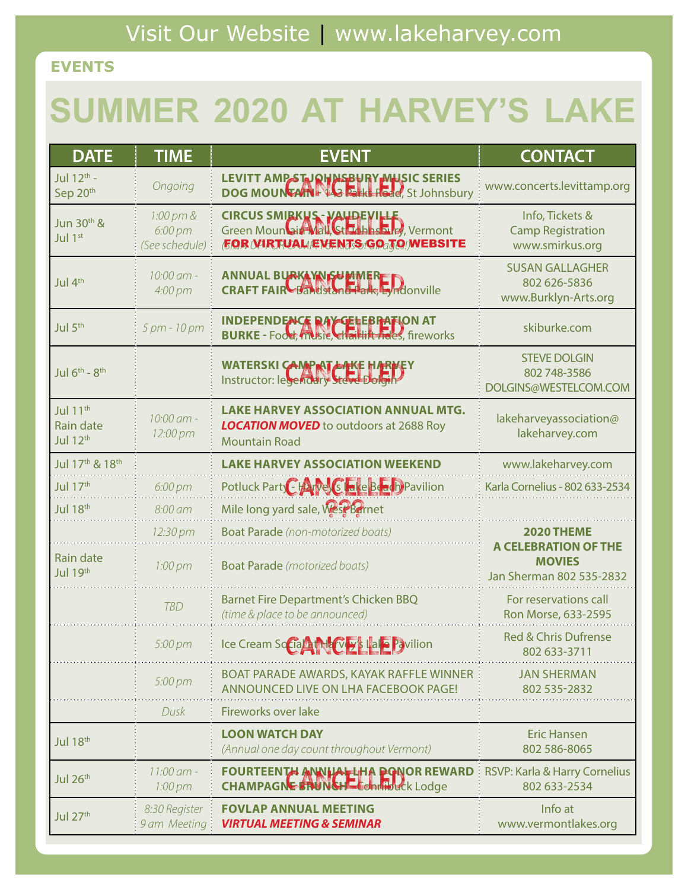## **EVENTS**

# **SUMMER 2020 AT HARVEY'S LAKE**

| <b>DATE</b>                                          | <b>TIME</b>                            | <b>EVENT</b>                                                                                                          | <b>CONTACT</b>                                                           |
|------------------------------------------------------|----------------------------------------|-----------------------------------------------------------------------------------------------------------------------|--------------------------------------------------------------------------|
| Jul 12th -<br>Sep 20th                               | Ongoing                                | LEVITT AMPSTJOHNSBURY MUSIC SERIES<br>DOG MOUNTAIN FOR BILL Hode, St Johnsbury                                        | www.concerts.levittamp.org                                               |
| Jun 30 <sup>th</sup> &<br>Jul 1 <sup>st</sup>        | 1:00 pm &<br>6:00 pm<br>(See schedule) | CIRCUS SMIRKUS - VALDEVILLE<br>Green Mound in Nall City Labastrie, Vermont<br><b>FOR WIRTUAL EXENTS GO JO WEBSITE</b> | Info, Tickets &<br><b>Camp Registration</b><br>www.smirkus.org           |
| Jul 4th                                              | 10:00 am -<br>4:00 pm                  | ANNUAL BURKAYNGUMMERER<br>CRAFT FAIR Bandstand Talk, Lyndonville                                                      | <b>SUSAN GALLAGHER</b><br>802 626-5836<br>www.Burklyn-Arts.org           |
| Jul 5 <sup>th</sup>                                  | 5 pm - 10 pm                           | <b>INDEPENDENCE RAY CELEBRAFION AT</b><br>BURKE - Food, music, charlift-racs, fireworks                               | skiburke.com                                                             |
| Jul $6^{th}$ - $8^{th}$                              |                                        | WATERSKI CAMPAT ATKE HARVEY                                                                                           | <b>STEVE DOLGIN</b><br>802 748-3586<br>DOLGINS@WESTELCOM.COM             |
| Jul 11 <sup>th</sup><br><b>Rain date</b><br>Jul 12th | 10:00 am -<br>12:00 pm                 | <b>LAKE HARVEY ASSOCIATION ANNUAL MTG.</b><br><b>LOCATION MOVED</b> to outdoors at 2688 Roy<br><b>Mountain Road</b>   | lakeharveyassociation@<br>lakeharvey.com                                 |
| Jul 17th & 18th                                      |                                        | <b>LAKE HARVEY ASSOCIATION WEEKEND</b>                                                                                | www.lakeharvey.com                                                       |
| Jul 17th                                             | 6:00 pm                                | Potluck Party Charges G lake Beach Pavilion                                                                           | Karla Cornelius - 802 633-2534                                           |
| Jul 18th                                             | 8:00 am                                | Mile long yard sale, West Bernet                                                                                      |                                                                          |
|                                                      | 12:30 pm                               | <b>Boat Parade</b> (non-motorized boats)                                                                              | 2020 THEME                                                               |
| Rain date<br>Jul 19th                                | 1:00 pm                                | <b>Boat Parade</b> (motorized boats)                                                                                  | <b>A CELEBRATION OF THE</b><br><b>MOVIES</b><br>Jan Sherman 802 535-2832 |
|                                                      | <b>TBD</b>                             | <b>Barnet Fire Department's Chicken BBQ</b><br>(time & place to be announced)                                         | For reservations call<br>Ron Morse, 633-2595                             |
|                                                      | 5:00 pm                                | Ice Cream Social Mary's Lale Pavilion                                                                                 | <b>Red &amp; Chris Dufrense</b><br>802 633-3711                          |
|                                                      | 5:00 pm                                | BOAT PARADE AWARDS, KAYAK RAFFLE WINNER<br>ANNOUNCED LIVE ON LHA FACEBOOK PAGE!                                       | <b>JAN SHERMAN</b><br>802 535-2832                                       |
|                                                      | Dusk                                   | Fireworks over lake                                                                                                   |                                                                          |
| Jul 18th                                             |                                        | <b>LOON WATCH DAY</b><br>(Annual one day count throughout Vermont)                                                    | <b>Eric Hansen</b><br>802 586-8065                                       |
| Jul 26th                                             | $11:00$ am -<br>$1:00 \text{ pm}$      | FOURTEENTH ANNIHALLING PONOR REWARD<br><b>CHAMPAGNE STONE+E Commodel Lodge</b>                                        | RSVP: Karla & Harry Cornelius<br>802 633-2534                            |
| Jul 27th                                             | 8:30 Register<br>9 am Meeting:         | <b>FOVLAP ANNUAL MEETING</b><br><b>VIRTUAL MEETING &amp; SEMINAR</b>                                                  | Info at<br>www.vermontlakes.org                                          |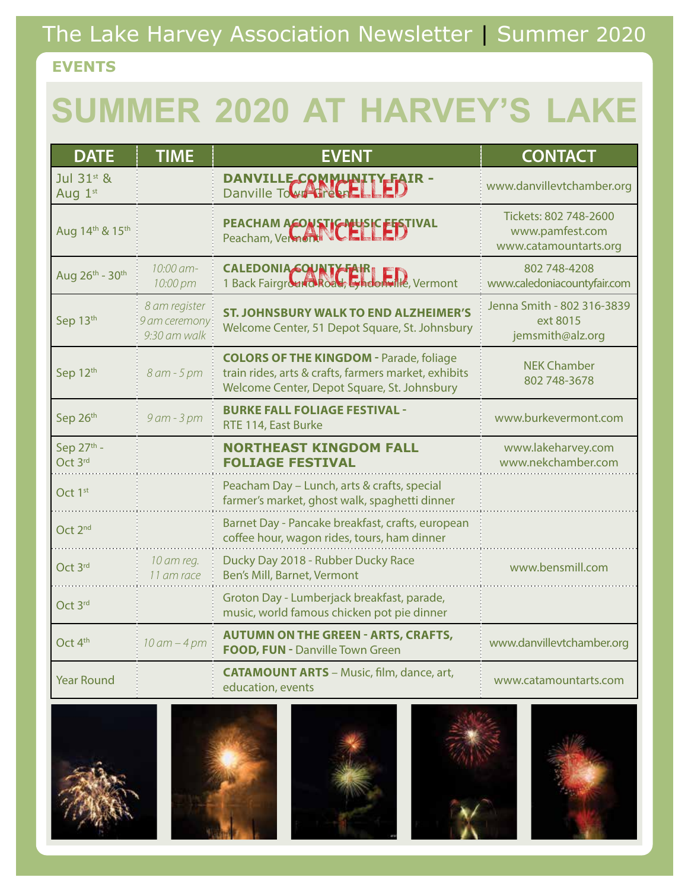# The Lake Harvey Association Newsletter | Summer 2020

## **EVENTS**

# **SUMMER 2020 AT HARVEY'S LAKE**

| <b>DATE</b>           | <b>TIME</b>                                     | <b>EVENT</b>                                                                                                                                          | <b>CONTACT</b>                                                    |
|-----------------------|-------------------------------------------------|-------------------------------------------------------------------------------------------------------------------------------------------------------|-------------------------------------------------------------------|
| Jul 31st &<br>Aug 1st |                                                 | DANVILLE COMMUNITY FAIR -                                                                                                                             | www.danvillevtchamber.org                                         |
| Aug 14th & 15th       |                                                 | PEACHAM ACOUSTIC MUSIC FESTIVAL                                                                                                                       | Tickets: 802 748-2600<br>www.pamfest.com<br>www.catamountarts.org |
| Aug 26th - 30th       | 10:00 am-<br>10:00 pm                           | CALEDONIA COUNTY FAIR                                                                                                                                 | 802 748-4208<br>www.caledoniacountyfair.com                       |
| Sep 13th              | 8 am register<br>9 am ceremony:<br>9:30 am walk | <b>ST. JOHNSBURY WALK TO END ALZHEIMER'S</b><br>Welcome Center, 51 Depot Square, St. Johnsbury                                                        | Jenna Smith - 802 316-3839<br>ext 8015<br>jemsmith@alz.org        |
| Sep 12th              | 8 am - 5 pm                                     | <b>COLORS OF THE KINGDOM - Parade, foliage</b><br>train rides, arts & crafts, farmers market, exhibits<br>Welcome Center, Depot Square, St. Johnsbury | <b>NEK Chamber</b><br>802 748-3678                                |
| Sep 26th              | 9 am - 3 pm                                     | <b>BURKE FALL FOLIAGE FESTIVAL -</b><br>RTE 114, East Burke                                                                                           | www.burkevermont.com                                              |
| Sep 27th -<br>Oct 3rd |                                                 | <b>NORTHEAST KINGDOM FALL</b><br><b>FOLIAGE FESTIVAL</b>                                                                                              | www.lakeharvey.com<br>www.nekchamber.com                          |
| Oct 1 <sup>st</sup>   |                                                 | Peacham Day - Lunch, arts & crafts, special<br>farmer's market, ghost walk, spaghetti dinner                                                          |                                                                   |
| Oct 2 <sup>nd</sup>   |                                                 | Barnet Day - Pancake breakfast, crafts, european<br>coffee hour, wagon rides, tours, ham dinner                                                       |                                                                   |
| Oct 3rd               | 10 am reg.<br>11 am race                        | Ducky Day 2018 - Rubber Ducky Race<br>Ben's Mill, Barnet, Vermont                                                                                     | www.bensmill.com                                                  |
| Oct 3rd               |                                                 | Groton Day - Lumberjack breakfast, parade,<br>music, world famous chicken pot pie dinner                                                              |                                                                   |
| Oct 4 <sup>th</sup>   | $10$ am $-4$ pm                                 | <b>AUTUMN ON THE GREEN - ARTS, CRAFTS,</b><br>FOOD, FUN - Danville Town Green                                                                         | www.danvillevtchamber.org                                         |
| <b>Year Round</b>     |                                                 | <b>CATAMOUNT ARTS</b> - Music, film, dance, art,<br>education, events                                                                                 | www.catamountarts.com                                             |